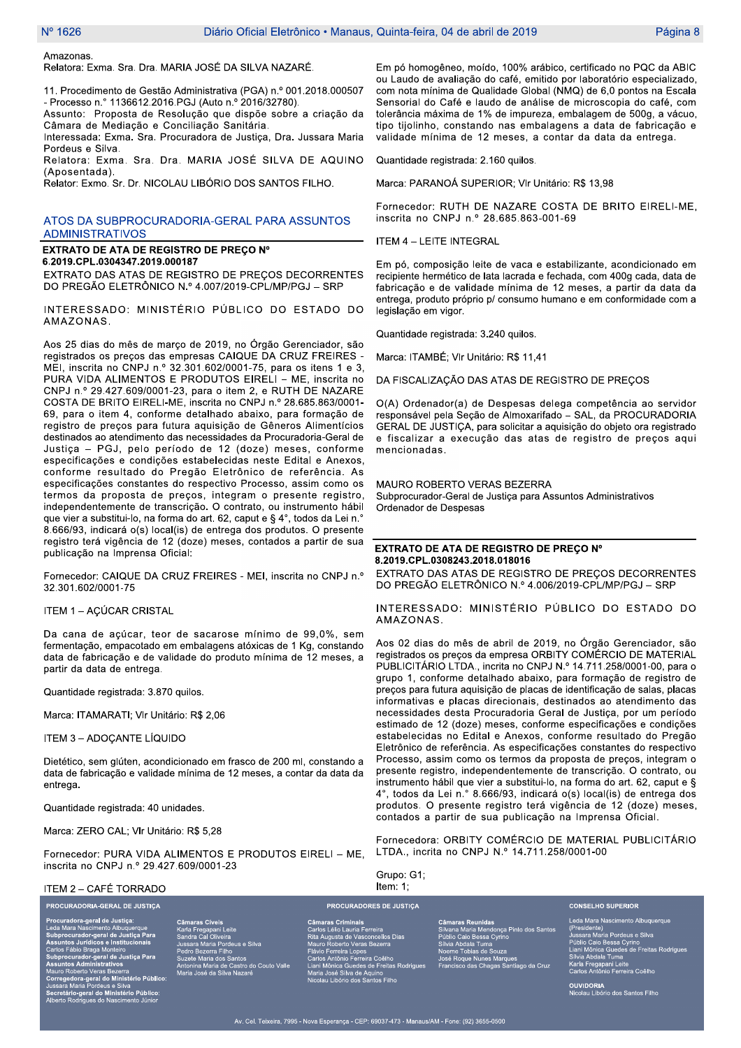Amazonas.

Relatora: Exma, Sra, Dra, MARIA JOSÉ DA SILVA NAZARÉ.

11. Procedimento de Gestão Administrativa (PGA) n.º 001.2018.000507 - Processo n.º 1136612.2016.PGJ (Auto n.º 2016/32780).

Assunto: Proposta de Resolução que dispõe sobre a criação da Câmara de Mediação e Conciliação Sanitária.

Interessada: Exma. Sra. Procuradora de Justica. Dra. Jussara Maria Pordeus e Silva

Relatora: Exma. Sra. Dra. MARIA JOSÉ SILVA DE AQUINO (Aposentada).

Relator: Exmo. Sr. Dr. NICOLAU LIBÓRIO DOS SANTOS FILHO.

### ATOS DA SUBPROCURADORIA-GERAL PARA ASSUNTOS **ADMINISTRATIVOS**

EXTRATO DE ATA DE REGISTRO DE PREÇO Nº

6.2019.CPL.0304347.2019.000187 EXTRATO DAS ATAS DE REGISTRO DE PREÇOS DECORRENTES DO PREGÃO ELETRÔNICO N.º 4.007/2019-CPL/MP/PGJ - SRP

INTERESSADO: MINISTÉRIO PÚBLICO DO ESTADO DO AMAZONAS.

Aos 25 dias do mês de março de 2019, no Órgão Gerenciador, são registrados os preços das empresas CAIQUE DA CRUZ FREIRES -MEI, inscrita no CNPJ n.º 32.301.602/0001-75, para os itens 1 e 3. PURA VIDA ALIMENTOS E PRODUTOS EIRELI - ME, inscrita no CNPJ n.º 29.427.609/0001-23, para o item 2, e RUTH DE NAZARE COSTA DE BRITO EIRELI-ME, inscrita no CNPJ n.º 28.685.863/0001-69, para o item 4, conforme detalhado abaixo, para formação de registro de preços para futura aquisição de Gêneros Alimentícios destinados ao atendimento das necessidades da Procuradoria-Geral de Justiça - PGJ, pelo período de 12 (doze) meses, conforme especificações e condições estabelecidas neste Edital e Anexos, conforme resultado do Pregão Eletrônico de referência. As especificações constantes do respectivo Processo, assim como os termos da proposta de preços, integram o presente registro, independentemente de transcrição. O contrato, ou instrumento hábil que vier a substitui-lo, na forma do art. 62, caput e § 4°, todos da Lei n. 8.666/93, indicará o(s) local(is) de entrega dos produtos. O presente registro terá vigência de 12 (doze) meses, contados a partir de sua publicação na Imprensa Oficial:

Fornecedor: CAIQUE DA CRUZ FREIRES - MEI, inscrita no CNPJ n.º 32.301.602/0001-75

ITEM 1 - AÇÚCAR CRISTAL

Da cana de açúcar, teor de sacarose mínimo de 99,0%, sem fermentação, empacotado em embalagens atóxicas de 1 Kg, constando data de fabricação e de validade do produto mínima de 12 meses, a partir da data de entrega.

Quantidade registrada: 3.870 guilos.

Marca: ITAMARATI; VIr Unitário: R\$ 2,06

ITEM 3 - ADOCANTE LÍQUIDO

Dietético, sem glúten, acondicionado em frasco de 200 ml, constando a data de fabricação e validade mínima de 12 meses, a contar da data da entrega.

Quantidade registrada: 40 unidades.

Marca: ZERO CAL; VIr Unitário: R\$ 5,28

Fornecedor: PURA VIDA ALIMENTOS E PRODUTOS EIRELI - ME. inscrita no CNPJ n.º 29.427.609/0001-23

ITEM 2 - CAFÉ TORRADO PROCURADORIA-GERAL DE JUSTIÇA

al de Justiça ara Nascimento Albuquerque<br>curador-geral de Justiça Par<br>os Jurídicos e Institucionais<br>ábio Braga Monteiro<br>curador-geral de Justiça Par<br>sos Administrativos intos Amiminantam<br>Co Roberto Veras Bezerra<br>egedora-geral do Ministério Público<br>artario-geral do Ministério Público:<br>etário-geral do Ministério Público:<br>to Rodrígues do Nascimento Júnior

deus e Silva ntes<br>astro do Couto Valle .<br>va Nat

PUBLICITÁRIO LTDA., incrita no CNPJ N.º 14.711.258/0001-00, para o grupo 1, conforme detalhado abaixo, para formação de registro de preços para futura aquisição de placas de identificação de salas, placas informativas e placas direcionais, destinados ao atendimento das necessidades desta Procuradoria Geral de Justiça, por um período estimado de 12 (doze) meses, conforme especificações e condições

estabelecidas no Edital e Anexos, conforme resultado do Pregão Eletrônico de referência. As especificações constantes do respectivo Processo, assim como os termos da proposta de precos, integram o presente registro, independentemente de transcrição. O contrato, ou instrumento hábil que vier a substitui-lo, na forma do art. 62, caput e § 4°, todos da Lei n.º 8.666/93, indicará o(s) local(is) de entrega dos produtos. O presente registro terá vigência de 12 (doze) meses, contados a partir de sua publicação na Imprensa Oficial.

Em pó homogêneo, moído, 100% arábico, certificado no PQC da ABIC ou Laudo de avaliação do café, emitido por laboratório especializado,

com nota mínima de Qualidade Global (NMQ) de 6,0 pontos na Escala

Sensorial do Café e laudo de análise de microscopia do café, com

tolerância máxima de 1% de impureza, embalagem de 500g, a vácuo,

tipo tijolinho, constando nas embalagens a data de fabricação e

Fornecedor: RUTH DE NAZARE COSTA DE BRITO EIRELI-ME,

Em pó, composição leite de vaca e estabilizante, acondicionado em

recipiente hermético de lata lacrada e fechada, com 400g cada, data de

fabricação e de validade mínima de 12 meses, a partir da data da entrega, produto próprio p/ consumo humano e em conformidade com a

O(A) Ordenador(a) de Despesas delega competência ao servidor

responsável pela Seção de Almoxarifado - SAL, da PROCURADORIA

GERAL DE JUSTICA, para solicitar a aquisição do objeto ora registrado

e fiscalizar a execução das atas de registro de preços aqui

EXTRATO DAS ATAS DE REGISTRO DE PRECOS DECORRENTES

INTERESSADO: MINISTÉRIO PÚBLICO DO ESTADO DO

Aos 02 dias do mês de abril de 2019, no Órgão Gerenciador, são

registrados os preços da empresa ORBITY COMÉRCIO DE MATERIAL

DO PREGÃO ELETRÔNICO N.º 4.006/2019-CPL/MP/PGJ - SRP

DA FISCALIZAÇÃO DAS ATAS DE REGISTRO DE PRECOS

Subprocurador-Geral de Justiça para Assuntos Administrativos

EXTRATO DE ATA DE REGISTRO DE PREÇO Nº

validade mínima de 12 meses, a contar da data da entrega.

Marca: PARANOÁ SUPERIOR; VIr Unitário: R\$ 13,98

inscrita no CNPJ n.º 28.685.863-001-69

Quantidade registrada: 2.160 quilos.

Quantidade registrada: 3.240 quilos.

Marca: ITAMBÉ; VIr Unitário: R\$ 11,41

MAURO ROBERTO VERAS BEZERRA

8.2019.CPL.0308243.2018.018016

**ITEM 4 - LEITE INTEGRAL** 

legislação em vigor.

mencionadas.

AMAZONAS.

Ordenador de Despesas

Fornecedora: ORBITY COMÉRCIO DE MATERIAL PUBLICITÁRIO LTDA., incrita no CNPJ N.º 14.711.258/0001-00

Grupo: G1:

naras Criminais<br>los Lélio Lauria Ferreira<br>a Augusta de Vasconcellos Dia<br>uro Roberto Veras Bezerra<br>vio Ferreira Lopes<br>experimente Lopes r iavio reneira Lopes<br>Carlos Antônio Ferreira Coêlho<br>Liani Mônica Guedes de Freitas Rodrigues<br>Maria José Silva de Aquino<br>Nicolau Libório dos Santos Filho

5002e<br>⊧Marques<br>≌≏s Santiago da Cruz

Leda Mara Nascir nto Albuquerque Contrata Northern Charles Charles Charles Charles Charles Charles Charles Charles Charles Charles Charles Charles Charles Charles Charles Charles Charles Charles Charles Charles Charles Charles Charles Charles Charles Char

**CONSELHO SUPERIOR** 

OUVIDORIA<br>Nicolau Libório dos Santos Filho

Item:  $1$ ; **PROCURADORES DE JUSTIÇA**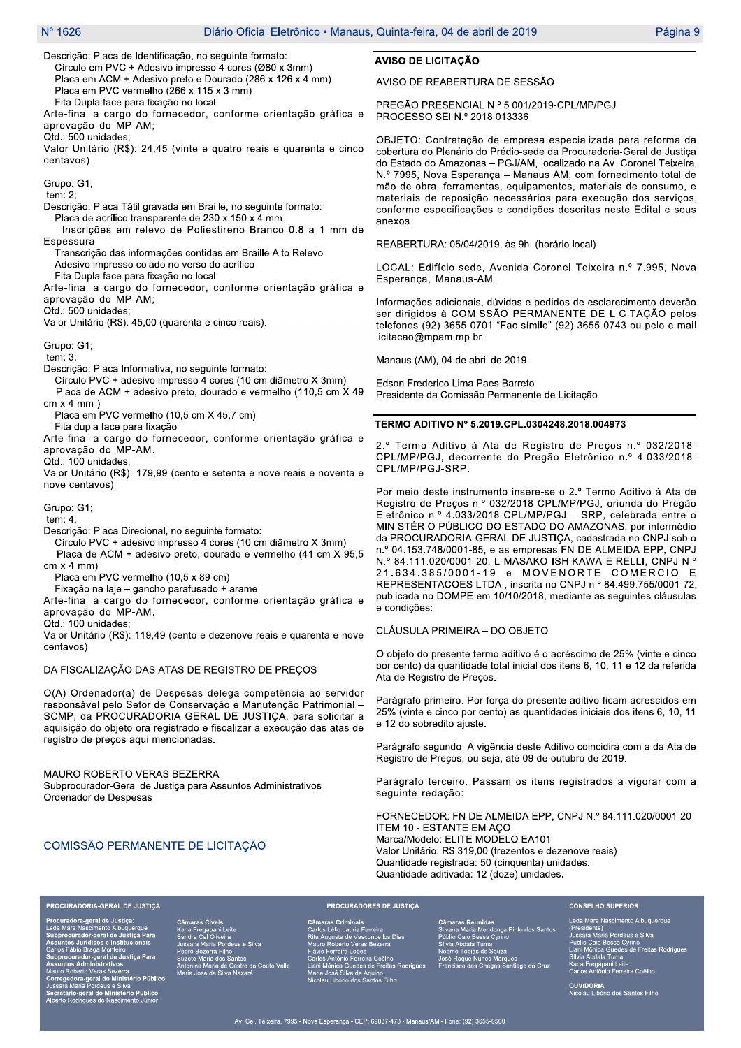Descrição: Placa de Identificação, no seguinte formato: Círculo em PVC + Adesivo impresso 4 cores (Ø80 x 3mm) Placa em ACM + Adesivo preto e Dourado (286 x 126 x 4 mm) Placa em PVC vermelho (266 x 115 x 3 mm)

Fita Dupla face para fixacão no local

Arte-final a cargo do fornecedor, conforme orientação gráfica e aprovação do MP-AM;

Qtd.: 500 unidades:

Valor Unitário (R\$): 24,45 (vinte e quatro reais e quarenta e cinco centavos).

Grupo: G1;

Item: 2;

Descrição: Placa Tátil gravada em Braille, no seguinte formato: Placa de acrílico transparente de 230 x 150 x 4 mm

Inscrições em relevo de Poliestireno Branco 0.8 a 1 mm de Espessura

Transcrição das informações contidas em Braille Alto Relevo

Adesivo impresso colado no verso do acrílico

Fita Dupla face para fixação no local

Arte-final a cargo do fornecedor, conforme orientação gráfica e aprovação do MP-AM;

Qtd.: 500 unidades;

Valor Unitário (R\$): 45,00 (quarenta e cinco reais).

Grupo: G1;

Item: 3:

Descrição: Placa Informativa, no seguinte formato:

Círculo PVC + adesivo impresso 4 cores (10 cm diâmetro X 3mm) Placa de ACM + adesivo preto, dourado e vermelho (110,5 cm X 49  $cm \times 4 mm$ )

Placa em PVC vermelho (10,5 cm X 45,7 cm)

Fita dupla face para fixação

Arte-final a cargo do fornecedor, conforme orientação gráfica e aprovação do MP-AM.

Qtd.: 100 unidades;

Valor Unitário (R\$): 179,99 (cento e setenta e nove reais e noventa e nove centavos).

Grupo: G1;

Item:  $4$ ;

Descrição: Placa Direcional, no seguinte formato:

Círculo PVC + adesivo impresso 4 cores (10 cm diâmetro X 3mm)

Placa de ACM + adesivo preto, dourado e vermelho (41 cm X 95,5  $cm \times 4$  mm)

Placa em PVC vermelho (10,5 x 89 cm)

Fixação na laje - gancho parafusado + arame

Arte-final a cargo do fornecedor, conforme orientação gráfica e aprovação do MP-AM.

Qtd.: 100 unidades;

Valor Unitário (R\$): 119,49 (cento e dezenove reais e quarenta e nove centavos).

#### DA FISCALIZAÇÃO DAS ATAS DE REGISTRO DE PREÇOS

O(A) Ordenador(a) de Despesas delega competência ao servidor responsável pelo Setor de Conservação e Manutenção Patrimonial SCMP, da PROCURADORIA GERAL DE JUSTIÇA, para solicitar a aquisição do objeto ora registrado e fiscalizar a execução das atas de registro de preços aqui mencionadas.

MAURO ROBERTO VERAS BEZERRA

Subprocurador-Geral de Justiça para Assuntos Administrativos Ordenador de Despesas

### COMISSÃO PERMANENTE DE LICITAÇÃO

### **AVISO DE LICITAÇÃO**

AVISO DE REABERTURA DE SESSÃO

PREGÃO PRESENCIAL N.º 5.001/2019-CPL/MP/PGJ PROCESSO SEI N.º 2018.013336

OBJETO: Contratação de empresa especializada para reforma da cobertura do Plenário do Prédio-sede da Procuradoria-Geral de Justiça do Estado do Amazonas - PGJ/AM, localizado na Av. Coronel Teixeira, N.º 7995, Nova Esperança - Manaus AM, com fornecimento total de mão de obra, ferramentas, equipamentos, materiais de consumo, e materiais de reposição necessários para execução dos serviços, conforme especificações e condições descritas neste Edital e seus anexos

REABERTURA: 05/04/2019, às 9h. (horário local).

LOCAL: Edifício-sede, Avenida Coronel Teixeira n.º 7.995, Nova Esperança, Manaus-AM.

Informações adicionais, dúvidas e pedidos de esclarecimento deverão ser dirigidos à COMISSÃO PERMANENTE DE LICITAÇÃO pelos telefones (92) 3655-0701 "Fac-símile" (92) 3655-0743 ou pelo e-mail licitacao@mpam.mp.br.

Manaus (AM), 04 de abril de 2019.

Edson Frederico Lima Paes Barreto Presidente da Comissão Permanente de Licitação

#### TERMO ADITIVO Nº 5.2019.CPL.0304248.2018.004973

2.º Termo Aditivo à Ata de Registro de Preços n.º 032/2018-CPL/MP/PGJ, decorrente do Pregão Eletrônico n.º 4.033/2018-CPL/MP/PGJ-SRP.

Por meio deste instrumento insere-se o 2.º Termo Aditivo à Ata de Registro de Preços n.º 032/2018-CPL/MP/PGJ, oriunda do Preção<br>Eletrônico n.º 4.033/2018-CPL/MP/PGJ – SRP, celebrada entre o MINISTÉRIO PÚBLICO DO ESTADO DO AMAZONAS, por intermédio da PROCURADORIA-GERAL DE JUSTIÇA, cadastrada no CNPJ sob o n.º 04.153.748/0001-85, e as empresas FN DE ALMEIDA EPP, CNPJ N.º 84.111.020/0001-20, L MASAKO ISHIKAWA EIRELLI, CNPJ N.º 21.634.385/0001-19 e MOVENORTE COMERCIO E REPRESENTACOES LTDA., inscrita no CNPJ n.º 84.499.755/0001-72. publicada no DOMPE em 10/10/2018, mediante as seguintes cláusulas e condições:

CLÁUSULA PRIMEIRA - DO OBJETO

O objeto do presente termo aditivo é o acréscimo de 25% (vinte e cinco por cento) da quantidade total inicial dos itens 6, 10, 11 e 12 da referida Ata de Registro de Preços.

Parágrafo primeiro. Por força do presente aditivo ficam acrescidos em 25% (vinte e cinco por cento) as quantidades iniciais dos itens 6, 10, 11 e 12 do sobredito ajuste.

Parágrafo segundo. A vigência deste Aditivo coincidirá com a da Ata de Registro de Precos, ou seja, até 09 de outubro de 2019.

Parágrafo terceiro. Passam os itens registrados a vigorar com a seguinte redação:

FORNECEDOR: FN DE ALMEIDA EPP, CNPJ N.º 84.111.020/0001-20 ITEM 10 - ESTANTE EM AÇO Marca/Modelo: ELITE MODELO EA101 Valor Unitário: R\$ 319,00 (trezentos e dezenove reais) Quantidade registrada: 50 (cinquenta) unidades. Quantidade aditivada: 12 (doze) unidades.

ara Nascimento Albuquerd<br>curador-geral de Justiça<br>os Jurídicos e Institucion<br>fábio Braga Monteiro<br>curador-geral de Justiça<br>os Administrativos o Roberto Veras Bezerra<br>gedora-geral do Ministério Públic<br>ra Maria Pordeus e Silva<br>tário-geral do Ministério Público:<br>o Rodrigues do Nascimento Júnior

**PROCURADORIA-GERAL DE JUSTIÇA** 

itos<br>istro do Couto Valle

### **PROCURADORES DE JUSTIÇA**

aras Criminais<br>os Lélio Lauria Ferreira<br>Augusta de Vasconcellos Dia<br>un Roberto Veras Bezerra<br>vio Ferreira Lopes<br>vio Ferreira Lopes los Antônio Ferreira Coêlho<br>il Mônica Guedes de Freitas Rodrigues Liumanus - Silva de Aquino<br>Maria José Silva de Aquino<br>Nicolau Libório dos Santos Filho

drine<br>de Souza<br>ines Marques<br>santiago da Cruz

Leda Mara Nascir nto Albuquerque com marinalmente de Silva<br>Jussara Maria Pordeus e Silva<br>Jussara Maria Pordeus e Silva<br>Públio Caio Bessa Cyrino<br>Liani Mônica Guedes de Freitas Rodrigue:<br>Karla Fregapani Leite<br>Carlos Antônio Ferreira Coêlho

**CONSELHO SUPERIOR** 

**OUVIDORIA**<br>Nicolau Libório dos Santos Filho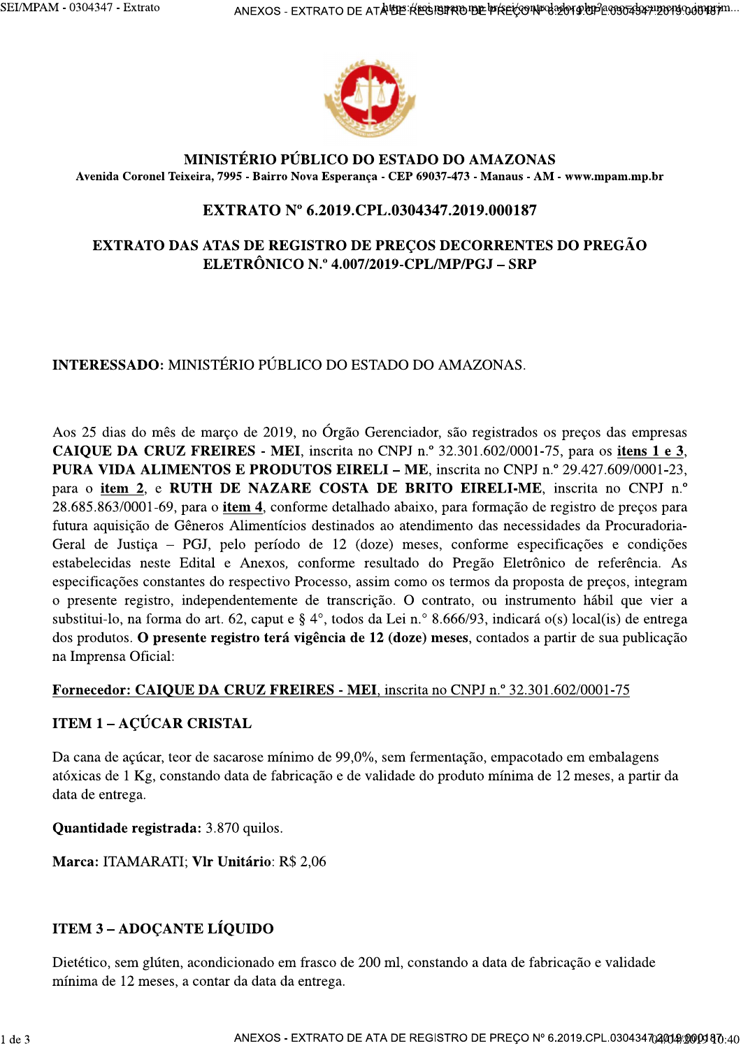

### MINISTÉRIO PÚBLICO DO ESTADO DO AMAZONAS Avenida Coronel Teixeira, 7995 - Bairro Nova Esperança - CEP 69037-473 - Manaus - AM - www.mpam.mp.br

# EXTRATO Nº 6.2019.CPL.0304347.2019.000187

## **EXTRATO DAS ATAS DE REGISTRO DE PREÇOS DECORRENTES DO PREGÃO** ELETRÔNICO N.º 4.007/2019-CPL/MP/PGJ - SRP

# **INTERESSADO:** MINISTÉRIO PÚBLICO DO ESTADO DO AMAZONAS.

Aos 25 dias do mês de março de 2019, no Órgão Gerenciador, são registrados os preços das empresas CAIQUE DA CRUZ FREIRES - MEI, inscrita no CNPJ n.º 32.301.602/0001-75, para os itens 1 e 3, PURA VIDA ALIMENTOS E PRODUTOS EIRELI – ME, inscrita no CNPJ n.º 29.427.609/0001-23, para o item 2, e RUTH DE NAZARE COSTA DE BRITO EIRELI-ME, inscrita no CNPJ n.º 28.685.863/0001-69, para o *item 4*, conforme detalhado abaixo, para formação de registro de preços para futura aquisição de Gêneros Alimentícios destinados ao atendimento das necessidades da Procuradoria-Geral de Justiça - PGJ, pelo período de 12 (doze) meses, conforme especificações e condições estabelecidas neste Edital e Anexos, conforme resultado do Pregão Eletrônico de referência. As especificações constantes do respectivo Processo, assim como os termos da proposta de preços, integram o presente registro, independentemente de transcrição. O contrato, ou instrumento hábil que vier a substitui-lo, na forma do art. 62, caput e § 4°, todos da Lei n.º 8.666/93, indicará o(s) local(is) de entrega dos produtos. O presente registro terá vigência de 12 (doze) meses, contados a partir de sua publicação na Imprensa Oficial:

### Fornecedor: CAIQUE DA CRUZ FREIRES - MEI, inscrita no CNPJ n.º 32.301.602/0001-75

## **ITEM 1 - ACÚCAR CRISTAL**

Da cana de açúcar, teor de sacarose mínimo de 99,0%, sem fermentação, empacotado em embalagens atóxicas de 1 Kg, constando data de fabricação e de validade do produto mínima de 12 meses, a partir da data de entrega.

Quantidade registrada: 3.870 quilos.

Marca: ITAMARATI; Vlr Unitário: R\$ 2,06

## **ITEM 3 - ADOCANTE LÍQUIDO**

Dietético, sem glúten, acondicionado em frasco de 200 ml, constando a data de fabricação e validade mínima de 12 meses, a contar da data da entrega.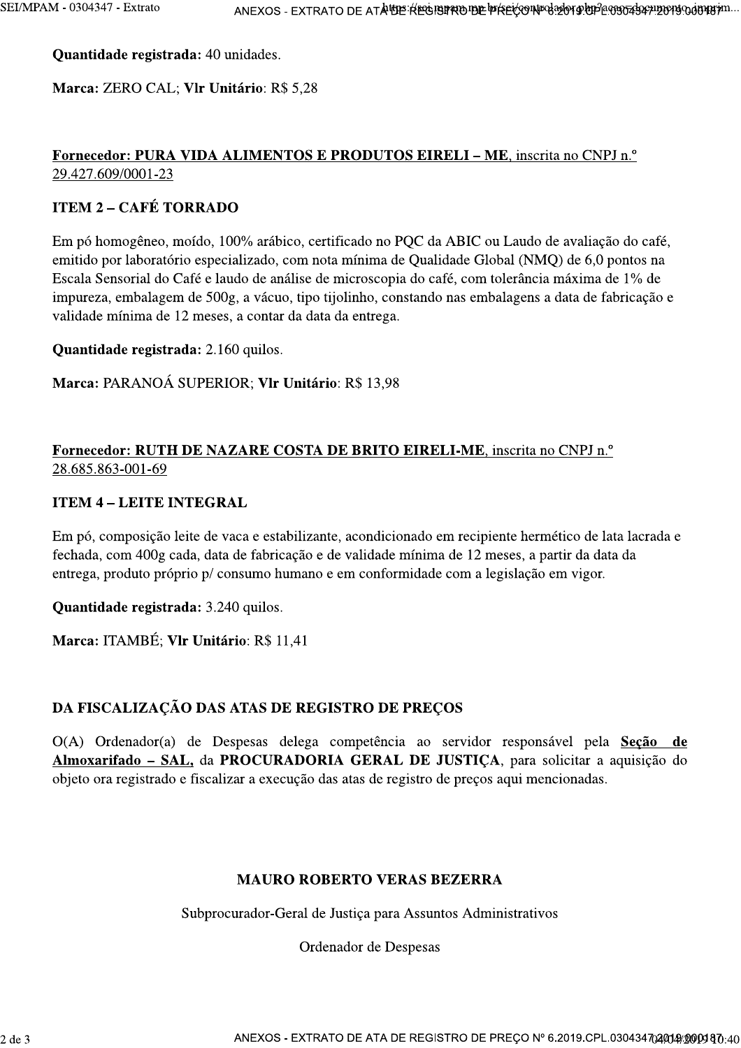Quantidade registrada: 40 unidades.

Marca: ZERO CAL; Vlr Unitário: R\$ 5,28

# Fornecedor: PURA VIDA ALIMENTOS E PRODUTOS EIRELI – ME, inscrita no CNPJ n.º 29.427.609/0001-23

# **ITEM 2 - CAFÉ TORRADO**

Em pó homogêneo, moído, 100% arábico, certificado no PQC da ABIC ou Laudo de avaliação do café, emitido por laboratório especializado, com nota mínima de Qualidade Global (NMQ) de 6,0 pontos na Escala Sensorial do Café e laudo de análise de microscopia do café, com tolerância máxima de 1% de impureza, embalagem de 500g, a vácuo, tipo tijolinho, constando nas embalagens a data de fabricação e validade mínima de 12 meses, a contar da data da entrega.

Quantidade registrada: 2.160 quilos.

# Marca: PARANOÁ SUPERIOR; Vlr Unitário: R\$ 13,98

# Fornecedor: RUTH DE NAZARE COSTA DE BRITO EIRELI-ME, inscrita no CNPJ n.º 28.685.863-001-69

# **ITEM 4 - LEITE INTEGRAL**

Em pó, composição leite de vaca e estabilizante, acondicionado em recipiente hermético de lata lacrada e fechada, com 400g cada, data de fabricação e de validade mínima de 12 meses, a partir da data da entrega, produto próprio p/ consumo humano e em conformidade com a legislação em vigor.

Quantidade registrada: 3.240 quilos.

Marca: ITAMBÉ; Vlr Unitário: R\$ 11,41

# DA FISCALIZAÇÃO DAS ATAS DE REGISTRO DE PRECOS

O(A) Ordenador(a) de Despesas delega competência ao servidor responsável pela Seção de Almoxarifado - SAL, da PROCURADORIA GERAL DE JUSTIÇA, para solicitar a aquisição do objeto ora registrado e fiscalizar a execução das atas de registro de preços aqui mencionadas.

## **MAURO ROBERTO VERAS BEZERRA**

Subprocurador-Geral de Justiça para Assuntos Administrativos

Ordenador de Despesas